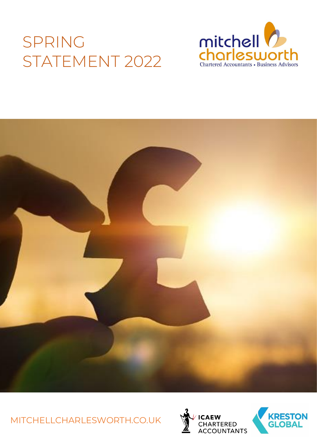# SPRING STATEMENT 2022





MITCHELLCHARLESWORTH.CO.UK



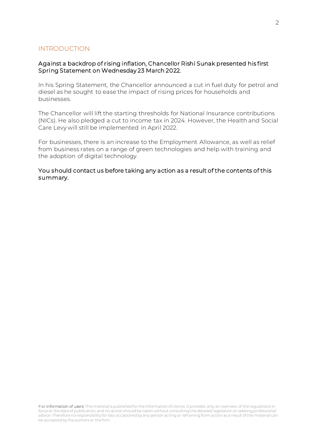# INTRODUCTION

# Against a backdrop of rising inflation, Chancellor Rishi Sunak presented his first Spring Statement on Wednesday 23 March 2022.

In his Spring Statement, the Chancellor announced a cut in fuel duty for petrol and diesel as he sought to ease the impact of rising prices for households and businesses.

The Chancellor will lift the starting thresholds for National Insurance contributions (NICs). He also pledged a cut to income tax in 2024. However, the Health and Social Care Levy will still be implemented in April 2022.

For businesses, there is an increase to the Employment Allowance, as well as relief from business rates on a range of green technologies and help with training and the adoption of digital technology.

You should contact us before taking any action as a result of the contents of this summary.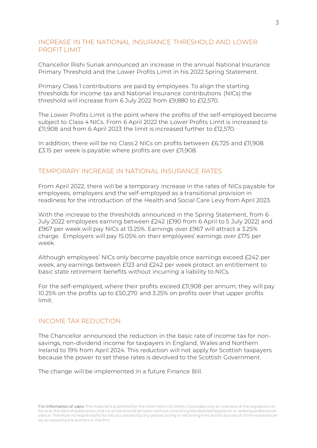# INCREASE IN THE NATIONAL INSURANCE THRESHOLD AND LOWER PROFIT LIMIT

Chancellor Rishi Sunak announced an increase in the annual National Insurance Primary Threshold and the Lower Profits Limit in his 2022 Spring Statement.

Primary Class 1 contributions are paid by employees. To align the starting thresholds for income tax and National Insurance contributions (NICs) the threshold will increase from 6 July 2022 from £9,880 to £12,570.

The Lower Profits Limit is the point where the profits of the self-employed become subject to Class 4 NICs. From 6 April 2022 the Lower Profits Limit is increased to £11,908 and from 6 April 2023 the limit is increased further to £12,570.

In addition, there will be no Class 2 NICs on profits between £6,725 and £11,908. £3.15 per week is payable where profits are over £11,908.

# TEMPORARY INCREASE IN NATIONAL INSURANCE RATES

From April 2022, there will be a temporary increase in the rates of NICs payable for employees, employers and the self-employed as a transitional provision in readiness for the introduction of the Health and Social Care Levy from April 2023.

With the increase to the thresholds announced in the Spring Statement, from 6 July 2022 employees earning between £242 (£190 from 6 April to 5 July 2022) and £967 per week will pay NICs at 13.25%. Earnings over £967 will attract a 3.25% charge. Employers will pay 15.05% on their employees' earnings over £175 per week.

Although employees' NICs only become payable once earnings exceed £242 per week, any earnings between £123 and £242 per week protect an entitlement to basic state retirement benefits without incurring a liability to NICs.

For the self-employed, where their profits exceed £11,908 per annum, they will pay 10.25% on the profits up to £50,270 and 3.25% on profits over that upper profits limit.

#### INCOME TAX REDUCTION

The Chancellor announced the reduction in the basic rate of income tax for nonsavings, non-dividend income for taxpayers in England, Wales and Northern Ireland to 19% from April 2024. This reduction will not apply for Scottish taxpayers because the power to set these rates is devolved to the Scottish Government.

The change will be implemented in a future Finance Bill.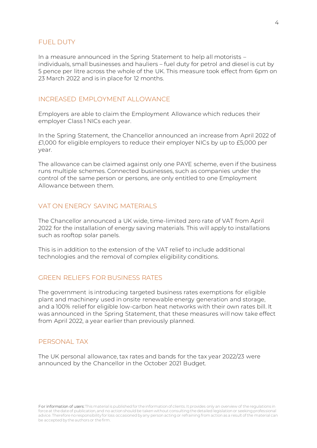# FUEL DUTY

In a measure announced in the Spring Statement to help all motorists – individuals, small businesses and hauliers – fuel duty for petrol and diesel is cut by 5 pence per litre across the whole of the UK. This measure took effect from 6pm on 23 March 2022 and is in place for 12 months.

# INCREASED EMPLOYMENT ALLOWANCE

Employers are able to claim the Employment Allowance which reduces their employer Class 1 NICs each year.

In the Spring Statement, the Chancellor announced an increase from April 2022 of £1,000 for eligible employers to reduce their employer NICs by up to £5,000 per year.

The allowance can be claimed against only one PAYE scheme, even if the business runs multiple schemes. Connected businesses, such as companies under the control of the same person or persons, are only entitled to one Employment Allowance between them.

# VAT ON ENERGY SAVING MATERIALS

The Chancellor announced a UK wide, time-limited zero rate of VAT from April 2022 for the installation of energy saving materials. This will apply to installations such as rooftop solar panels.

This is in addition to the extension of the VAT relief to include additional technologies and the removal of complex eligibility conditions.

# GREEN RELIEFS FOR BUSINESS RATES

The government is introducing targeted business rates exemptions for eligible plant and machinery used in onsite renewable energy generation and storage, and a 100% relief for eligible low-carbon heat networks with their own rates bill. It was announced in the Spring Statement, that these measures will now take effect from April 2022, a year earlier than previously planned.

# PERSONAL TAX

The UK personal allowance, tax rates and bands for the tax year 2022/23 were announced by the Chancellor in the October 2021 Budget.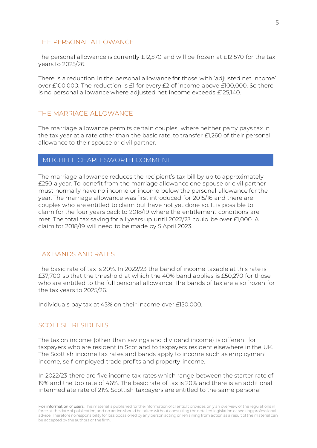#### THE PERSONAL ALLOWANCE

The personal allowance is currently £12,570 and will be frozen at £12,570 for the tax years to 2025/26.

There is a reduction in the personal allowance for those with 'adjusted net income' over £100,000. The reduction is £1 for every £2 of income above £100,000. So there is no personal allowance where adjusted net income exceeds £125,140.

#### THE MARRIAGE ALLOWANCE

The marriage allowance permits certain couples, where neither party pays tax in the tax year at a rate other than the basic rate, to transfer £1,260 of their personal allowance to their spouse or civil partner.

# MITCHELL CHARLESWORTH COMMENT:

The marriage allowance reduces the recipient's tax bill by up to approximately £250 a year. To benefit from the marriage allowance one spouse or civil partner must normally have no income or income below the personal allowance for the year. The marriage allowance was first introduced for 2015/16 and there are couples who are entitled to claim but have not yet done so. It is possible to claim for the four years back to 2018/19 where the entitlement conditions are met. The total tax saving for all years up until 2022/23 could be over £1,000. A claim for 2018/19 will need to be made by 5 April 2023.

# TAX BANDS AND RATES

The basic rate of tax is 20%. In 2022/23 the band of income taxable at this rate is £37,700 so that the threshold at which the 40% band applies is £50,270 for those who are entitled to the full personal allowance. The bands of tax are also frozen for the tax years to 2025/26.

Individuals pay tax at 45% on their income over £150,000.

# SCOTTISH RESIDENTS

The tax on income (other than savings and dividend income) is different for taxpayers who are resident in Scotland to taxpayers resident elsewhere in the UK. The Scottish income tax rates and bands apply to income such as employment income, self-employed trade profits and property income.

In 2022/23 there are five income tax rates which range between the starter rate of 19% and the top rate of 46%. The basic rate of tax is 20% and there is an additional intermediate rate of 21%. Scottish taxpayers are entitled to the same personal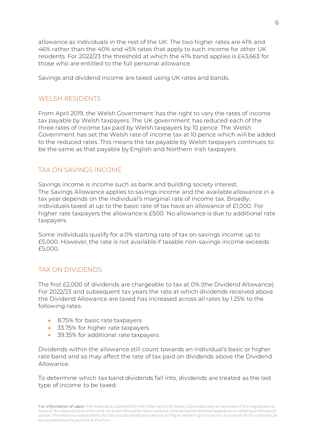allowance as individuals in the rest of the UK. The two higher rates are 41% and 46% rather than the 40% and 45% rates that apply to such income for other UK residents. For 2022/23 the threshold at which the 41% band applies is £43,663 for those who are entitled to the full personal allowance.

Savings and dividend income are taxed using UK rates and bands.

# WELSH RESIDENTS

From April 2019, the Welsh Government has the right to vary the rates of income tax payable by Welsh taxpayers. The UK government has reduced each of the three rates of income tax paid by Welsh taxpayers by 10 pence. The Welsh Government has set the Welsh rate of income tax at 10 pence which will be added to the reduced rates. This means the tax payable by Welsh taxpayers continues to be the same as that payable by English and Northern Irish taxpayers.

# TAX ON SAVINGS INCOME

Savings income is income such as bank and building society interest. The Savings Allowance applies to savings income and the available allowance in a tax year depends on the individual's marginal rate of income tax. Broadly, individuals taxed at up to the basic rate of tax have an allowance of £1,000. For higher rate taxpayers the allowance is £500. No allowance is due to additional rate taxpayers.

Some individuals qualify for a 0% starting rate of tax on savings income up to £5,000. However, the rate is not available if taxable non-savings income exceeds £5,000.

# TAX ON DIVIDENDS

The first £2,000 of dividends are chargeable to tax at 0% (the Dividend Allowance). For 2022/23 and subsequent tax years the rate at which dividends received above the Dividend Allowance are taxed has increased across all rates by 1.25% to the following rates:

- 8.75% for basic rate taxpayers
- 33.75% for higher rate taxpayers
- 39.35% for additional rate taxpayers.

Dividends within the allowance still count towards an individual's basic or higher rate band and so may affect the rate of tax paid on dividends above the Dividend Allowance.

To determine which tax band dividends fall into, dividends are treated as the last type of income to be taxed.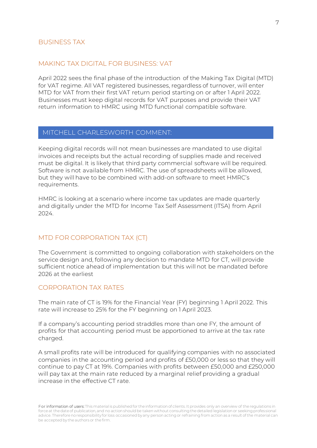#### BUSINESS TAX

# MAKING TAX DIGITAL FOR BUSINESS: VAT

April 2022 sees the final phase of the introduction of the Making Tax Digital (MTD) for VAT regime. All VAT registered businesses, regardless of turnover, will enter MTD for VAT from their first VAT return period starting on or after 1 April 2022. Businesses must keep digital records for VAT purposes and provide their VAT return information to HMRC using MTD functional compatible software.

#### MITCHELL CHARLESWORTH COMMENT:

Keeping digital records will not mean businesses are mandated to use digital invoices and receipts but the actual recording of supplies made and received must be digital. It is likely that third party commercial software will be required. Software is not available from HMRC. The use of spreadsheets will be allowed, but they will have to be combined with add-on software to meet HMRC's requirements.

HMRC is looking at a scenario where income tax updates are made quarterly and digitally under the MTD for Income Tax Self Assessment (ITSA) from April 2024.

# MTD FOR CORPORATION TAX (CT)

The Government is committed to ongoing collaboration with stakeholders on the service design and, following any decision to mandate MTD for CT, will provide sufficient notice ahead of implementation but this will not be mandated before 2026 at the earliest

#### CORPORATION TAX RATES

The main rate of CT is 19% for the Financial Year (FY) beginning 1 April 2022. This rate will increase to 25% for the FY beginning on 1 April 2023.

If a company's accounting period straddles more than one FY, the amount of profits for that accounting period must be apportioned to arrive at the tax rate charged.

A small profits rate will be introduced for qualifying companies with no associated companies in the accounting period and profits of £50,000 or less so that they will continue to pay CT at 19%. Companies with profits between £50,000 and £250,000 will pay tax at the main rate reduced by a marginal relief providing a gradual increase in the effective CT rate.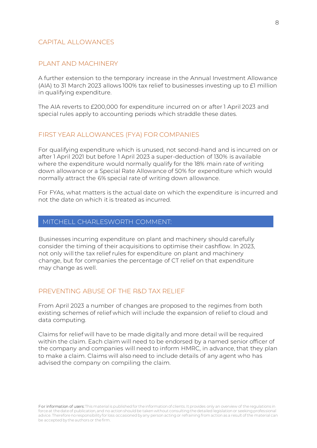#### CAPITAL ALLOWANCES

# PLANT AND MACHINERY

A further extension to the temporary increase in the Annual Investment Allowance (AIA) to 31 March 2023 allows 100% tax relief to businesses investing up to £1 million in qualifying expenditure.

The AIA reverts to £200,000 for expenditure incurred on or after 1 April 2023 and special rules apply to accounting periods which straddle these dates.

#### FIRST YEAR ALLOWANCES (FYA) FOR COMPANIES

For qualifying expenditure which is unused, not second-hand and is incurred on or after 1 April 2021 but before 1 April 2023 a super-deduction of 130% is available where the expenditure would normally qualify for the 18% main rate of writing down allowance or a Special Rate Allowance of 50% for expenditure which would normally attract the 6% special rate of writing down allowance.

For FYAs, what matters is the actual date on which the expenditure is incurred and not the date on which it is treated as incurred.

#### MITCHELL CHARLESWORTH COMMENT:

Businesses incurring expenditure on plant and machinery should carefully consider the timing of their acquisitions to optimise their cashflow. In 2023, not only will the tax relief rules for expenditure on plant and machinery change, but for companies the percentage of CT relief on that expenditure may change as well.

# PREVENTING ABUSE OF THE R&D TAX RELIEF

From April 2023 a number of changes are proposed to the regimes from both existing schemes of relief which will include the expansion of relief to cloud and data computing.

Claims for relief will have to be made digitally and more detail will be required within the claim. Each claim will need to be endorsed by a named senior officer of the company and companies will need to inform HMRC, in advance, that they plan to make a claim. Claims will also need to include details of any agent who has advised the company on compiling the claim.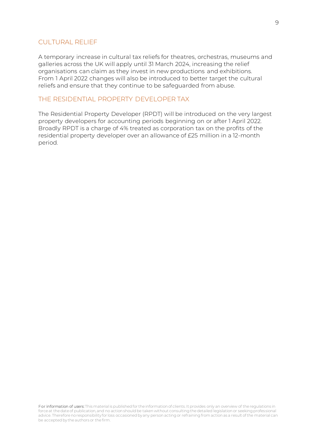# CULTURAL RELIEF

A temporary increase in cultural tax reliefs for theatres, orchestras, museums and galleries across the UK will apply until 31 March 2024, increasing the relief organisations can claim as they invest in new productions and exhibitions. From 1 April 2022 changes will also be introduced to better target the cultural reliefs and ensure that they continue to be safeguarded from abuse.

# THE RESIDENTIAL PROPERTY DEVELOPER TAX

The Residential Property Developer (RPDT) will be introduced on the very largest property developers for accounting periods beginning on or after 1 April 2022. Broadly RPDT is a charge of 4% treated as corporation tax on the profits of the residential property developer over an allowance of £25 million in a 12-month period.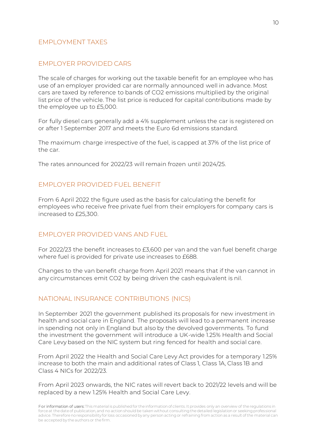# EMPLOYMENT TAXES

# EMPLOYER PROVIDED CARS

The scale of charges for working out the taxable benefit for an employee who has use of an employer provided car are normally announced well in advance. Most cars are taxed by reference to bands of CO2 emissions multiplied by the original list price of the vehicle. The list price is reduced for capital contributions made by the employee up to £5,000.

For fully diesel cars generally add a 4% supplement unless the car is registered on or after 1 September 2017 and meets the Euro 6d emissions standard.

The maximum charge irrespective of the fuel, is capped at 37% of the list price of the car.

The rates announced for 2022/23 will remain frozen until 2024/25.

# EMPLOYER PROVIDED FUEL BENEFIT

From 6 April 2022 the figure used as the basis for calculating the benefit for employees who receive free private fuel from their employers for company cars is increased to £25,300.

# EMPLOYER PROVIDED VANS AND FUEL

For 2022/23 the benefit increases to £3,600 per van and the van fuel benefit charge where fuel is provided for private use increases to £688.

Changes to the van benefit charge from April 2021 means that if the van cannot in any circumstances emit CO2 by being driven the cash equivalent is nil.

#### NATIONAL INSURANCE CONTRIBUTIONS (NICS)

In September 2021 the government published its proposals for new investment in health and social care in England. The proposals will lead to a permanent increase in spending not only in England but also by the devolved governments. To fund the investment the government will introduce a UK-wide 1.25% Health and Social Care Levy based on the NIC system but ring fenced for health and social care.

From April 2022 the Health and Social Care Levy Act provides for a temporary 1.25% increase to both the main and additional rates of Class 1, Class 1A, Class 1B and Class 4 NICs for 2022/23.

From April 2023 onwards, the NIC rates will revert back to 2021/22 levels and will be replaced by a new 1.25% Health and Social Care Levy.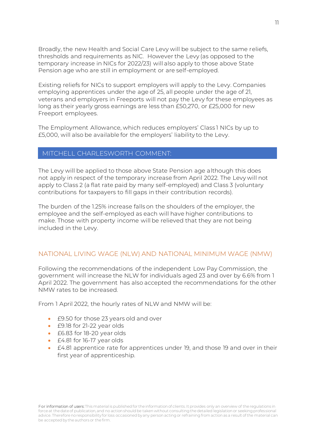Broadly, the new Health and Social Care Levy will be subject to the same reliefs, thresholds and requirements as NIC. However the Levy (as opposed to the temporary increase in NICs for 2022/23) will also apply to those above State Pension age who are still in employment or are self-employed.

Existing reliefs for NICs to support employers will apply to the Levy. Companies employing apprentices under the age of 25, all people under the age of 21, veterans and employers in Freeports will not pay the Levy for these employees as long as their yearly gross earnings are less than £50,270, or £25,000 for new Freeport employees.

The Employment Allowance, which reduces employers' Class 1 NICs by up to £5,000, will also be available for the employers' liability to the Levy.

# MITCHELL CHARLESWORTH COMMENT:

The Levy will be applied to those above State Pension age although this does not apply in respect of the temporary increase from April 2022. The Levy will not apply to Class 2 (a flat rate paid by many self-employed) and Class 3 (voluntary contributions for taxpayers to fill gaps in their contribution records).

The burden of the 1.25% increase falls on the shoulders of the employer, the employee and the self-employed as each will have higher contributions to make. Those with property income will be relieved that they are not being included in the Levy.

# NATIONAL LIVING WAGE (NLW) AND NATIONAL MINIMUM WAGE (NMW)

Following the recommendations of the independent Low Pay Commission, the government will increase the NLW for individuals aged 23 and over by 6.6% from 1 April 2022. The government has also accepted the recommendations for the other NMW rates to be increased.

From 1 April 2022, the hourly rates of NLW and NMW will be:

- £9.50 for those 23 years old and over
- £9.18 for 21-22 year olds
- £6.83 for 18-20 year olds
- £4.81 for 16-17 year olds
- £4.81 apprentice rate for apprentices under 19, and those 19 and over in their first year of apprenticeship.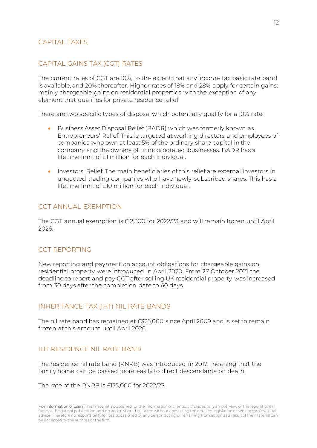# CAPITAL TAXES

# CAPITAL GAINS TAX (CGT) RATES

The current rates of CGT are 10%, to the extent that any income tax basic rate band is available, and 20% thereafter. Higher rates of 18% and 28% apply for certain gains; mainly chargeable gains on residential properties with the exception of any element that qualifies for private residence relief.

There are two specific types of disposal which potentially qualify for a 10% rate:

- Business Asset Disposal Relief (BADR) which was formerly known as Entrepreneurs' Relief. This is targeted at working directors and employees of companies who own at least 5% of the ordinary share capital in the company and the owners of unincorporated businesses. BADR has a lifetime limit of £1 million for each individual.
- Investors' Relief. The main beneficiaries of this relief are external investors in unquoted trading companies who have newly-subscribed shares. This has a lifetime limit of £10 million for each individual.

# CGT ANNUAL EXEMPTION

The CGT annual exemption is £12,300 for 2022/23 and will remain frozen until April 2026.

# CGT REPORTING

New reporting and payment on account obligations for chargeable gains on residential property were introduced in April 2020. From 27 October 2021 the deadline to report and pay CGT after selling UK residential property was increased from 30 days after the completion date to 60 days.

# INHERITANCE TAX (IHT) NIL RATE BANDS

The nil rate band has remained at £325,000 since April 2009 and is set to remain frozen at this amount until April 2026.

# IHT RESIDENCE NIL RATE BAND

The residence nil rate band (RNRB) was introduced in 2017, meaning that the family home can be passed more easily to direct descendants on death.

The rate of the RNRB is £175,000 for 2022/23.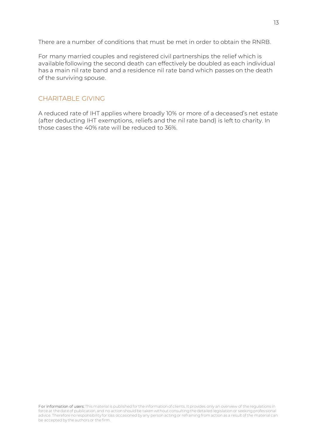There are a number of conditions that must be met in order to obtain the RNRB.

For many married couples and registered civil partnerships the relief which is available following the second death can effectively be doubled as each individual has a main nil rate band and a residence nil rate band which passes on the death of the surviving spouse.

# CHARITABLE GIVING

A reduced rate of IHT applies where broadly 10% or more of a deceased's net estate (after deducting IHT exemptions, reliefs and the nil rate band) is left to charity. In those cases the 40% rate will be reduced to 36%.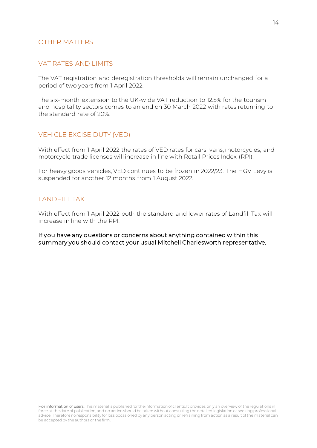# OTHER MATTERS

# VAT RATES AND LIMITS

The VAT registration and deregistration thresholds will remain unchanged for a period of two years from 1 April 2022.

The six-month extension to the UK-wide VAT reduction to 12.5% for the tourism and hospitality sectors comes to an end on 30 March 2022 with rates returning to the standard rate of 20%.

# VEHICLE EXCISE DUTY (VED)

With effect from 1 April 2022 the rates of VED rates for cars, vans, motorcycles, and motorcycle trade licenses will increase in line with Retail Prices Index (RPI).

For heavy goods vehicles, VED continues to be frozen in 2022/23. The HGV Levy is suspended for another 12 months from 1 August 2022.

# LANDFILL TAX

With effect from 1 April 2022 both the standard and lower rates of Landfill Tax will increase in line with the RPI.

#### If you have any questions or concerns about anything contained within this summary you should contact your usual Mitchell Charlesworth representative.